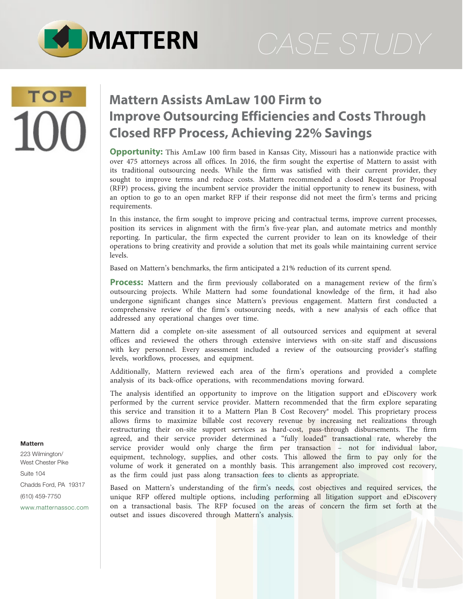

# **TOP**

### **Mattern Assists AmLaw 100 Firm to Improve Outsourcing Efficiencies and Costs Through Closed RFP Process, Achieving 22% Savings**

**Opportunity:** This AmLaw 100 firm based in Kansas City, Missouri has a nationwide practice with over 475 attorneys across all offices. In 2016, the firm sought the expertise of Mattern to assist with its traditional outsourcing needs. While the firm was satisfied with their current provider, they sought to improve terms and reduce costs. Mattern recommended a closed Request for Proposal (RFP) process, giving the incumbent service provider the initial opportunity to renew its business, with an option to go to an open market RFP if their response did not meet the firm's terms and pricing requirements.

In this instance, the firm sought to improve pricing and contractual terms, improve current processes, position its services in alignment with the firm's five-year plan, and automate metrics and monthly reporting. In particular, the firm expected the current provider to lean on its knowledge of their operations to bring creativity and provide a solution that met its goals while maintaining current service levels.

Based on Mattern's benchmarks, the firm anticipated a 21% reduction of its current spend.

**Process:** Mattern and the firm previously collaborated on a management review of the firm's outsourcing projects. While Mattern had some foundational knowledge of the firm, it had also undergone significant changes since Mattern's previous engagement. Mattern first conducted a comprehensive review of the firm's outsourcing needs, with a new analysis of each office that addressed any operational changes over time.

Mattern did a complete on-site assessment of all outsourced services and equipment at several offices and reviewed the others through extensive interviews with on-site staff and discussions with key personnel. Every assessment included a review of the outsourcing provider's staffing levels, workflows, processes, and equipment.

Additionally, Mattern reviewed each area of the firm's operations and provided a complete analysis of its back-office operations, with recommendations moving forward.

The analysis identified an opportunity to improve on the litigation support and eDiscovery work performed by the current service provider. Mattern recommended that the firm explore separating this service and transition it to a Mattern Plan B Cost Recovery® model. This proprietary process allows firms to maximize billable cost recovery revenue by increasing net realizations through restructuring their on-site support services as hard-cost, pass-through disbursements. The firm agreed, and their service provider determined a "fully loaded" transactional rate, whereby the service provider would only charge the firm per transaction – not for individual labor, equipment, technology, supplies, and other costs. This allowed the firm to pay only for the volume of work it generated on a monthly basis. This arrangement also improved cost recovery, as the firm could just pass along transaction fees to clients as appropriate.

Based on Mattern's understanding of the firm's needs, cost objectives and required services, the unique RFP offered multiple options, including performing all litigation support and eDiscovery on a transactional basis. The RFP focused on the areas of concern the firm set forth at the outset and issues discovered through Mattern's analysis.

#### **Mattern**

223 Wilmington/ West Chester Pike Suite 104 Chadds Ford, PA 19317 (610) 459-7750 [www.matternassoc.com](http://www.matternassoc.com)